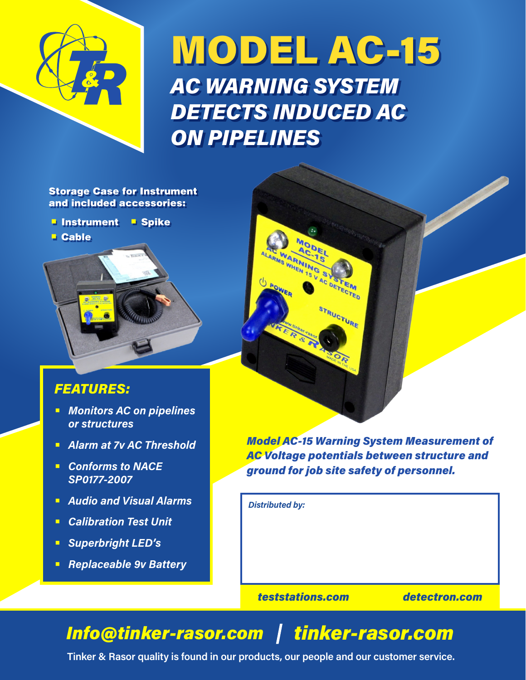

# MODEL AC-15 *AC WARNING SYSTEM DETECTS INDUCED AC ON PIPELINES*

**TMS WHEN 1S V ARMING** 

 $\mathbf{s}$ 

AC DETECTED

**RUCTURE** 

Storage Case for Instrument and included accessories:

- **Instrument Spike**
- Cable



## *FEATURES:*

- **•** *Monitors AC on pipelines or structures*
- **•** *Alarm at 7v AC Threshold*
- **•** *Conforms to NACE SP0177-2007*
- **•** *Audio and Visual Alarms*
- **•** *Calibration Test Unit*
- **•** *Superbright LED's*
- **•** *Replaceable 9v Battery*



*Distributed by:*

*teststations.com detectron.com*

# *Info@tinker-rasor.com tinker-rasor.com*

**Tinker & Rasor quality is found in our products, our people and our customer service.**